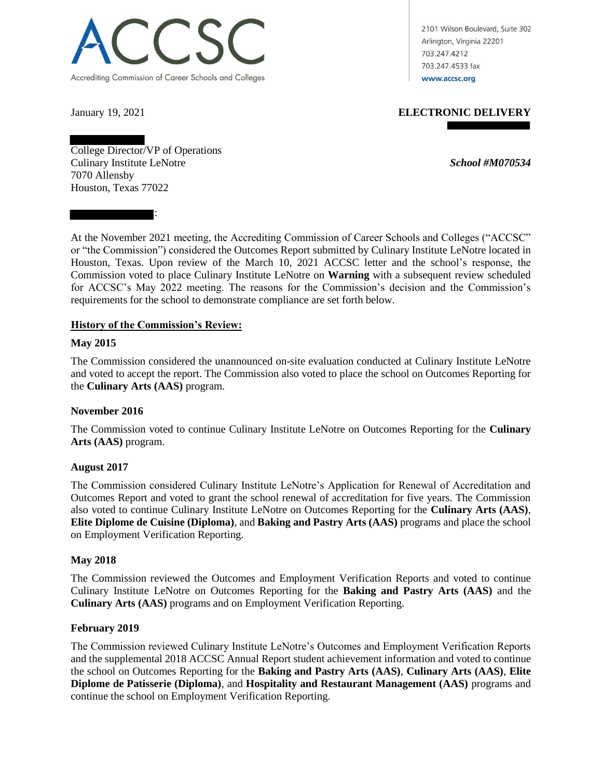

2101 Wilson Boulevard, Suite 302 Arlington, Virginia 22201 703.247.4212 703.247.4533 fax www.accsc.org

:

January 19, 2021 **ELECTRONIC DELIVERY**

College Director/VP of Operations Culinary Institute LeNotre *School #M070534* 7070 Allensby Houston, Texas 77022

At the November 2021 meeting, the Accrediting Commission of Career Schools and Colleges ("ACCSC" or "the Commission") considered the Outcomes Report submitted by Culinary Institute LeNotre located in Houston, Texas. Upon review of the March 10, 2021 ACCSC letter and the school's response, the Commission voted to place Culinary Institute LeNotre on **Warning** with a subsequent review scheduled for ACCSC's May 2022 meeting. The reasons for the Commission's decision and the Commission's requirements for the school to demonstrate compliance are set forth below.

# **History of the Commission's Review:**

## **May 2015**

The Commission considered the unannounced on-site evaluation conducted at Culinary Institute LeNotre and voted to accept the report. The Commission also voted to place the school on Outcomes Reporting for the **Culinary Arts (AAS)** program.

# **November 2016**

The Commission voted to continue Culinary Institute LeNotre on Outcomes Reporting for the **Culinary Arts (AAS)** program.

#### **August 2017**

The Commission considered Culinary Institute LeNotre's Application for Renewal of Accreditation and Outcomes Report and voted to grant the school renewal of accreditation for five years. The Commission also voted to continue Culinary Institute LeNotre on Outcomes Reporting for the **Culinary Arts (AAS)**, **Elite Diplome de Cuisine (Diploma)**, and **Baking and Pastry Arts (AAS)** programs and place the school on Employment Verification Reporting.

#### **May 2018**

The Commission reviewed the Outcomes and Employment Verification Reports and voted to continue Culinary Institute LeNotre on Outcomes Reporting for the **Baking and Pastry Arts (AAS)** and the **Culinary Arts (AAS)** programs and on Employment Verification Reporting.

#### **February 2019**

The Commission reviewed Culinary Institute LeNotre's Outcomes and Employment Verification Reports and the supplemental 2018 ACCSC Annual Report student achievement information and voted to continue the school on Outcomes Reporting for the **Baking and Pastry Arts (AAS)**, **Culinary Arts (AAS)**, **Elite Diplome de Patisserie (Diploma)**, and **Hospitality and Restaurant Management (AAS)** programs and continue the school on Employment Verification Reporting.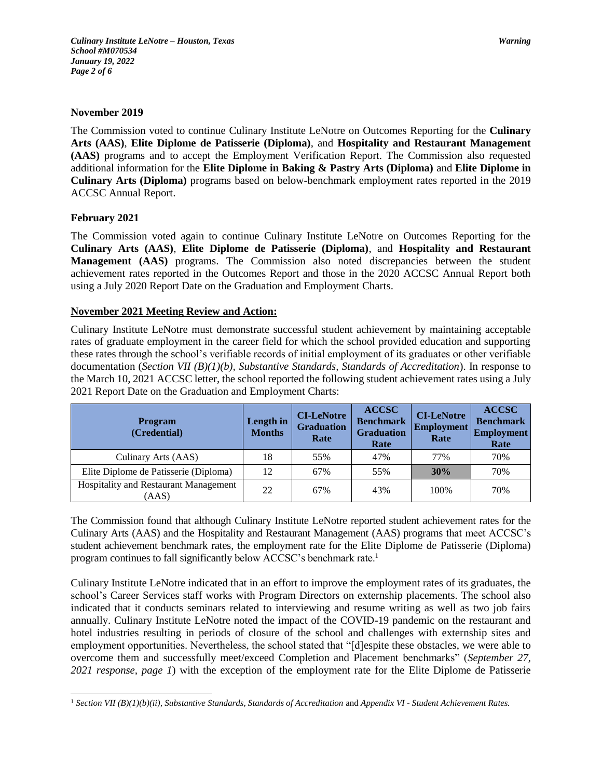## **November 2019**

The Commission voted to continue Culinary Institute LeNotre on Outcomes Reporting for the **Culinary Arts (AAS)**, **Elite Diplome de Patisserie (Diploma)**, and **Hospitality and Restaurant Management (AAS)** programs and to accept the Employment Verification Report. The Commission also requested additional information for the **Elite Diplome in Baking & Pastry Arts (Diploma)** and **Elite Diplome in Culinary Arts (Diploma)** programs based on below-benchmark employment rates reported in the 2019 ACCSC Annual Report.

## **February 2021**

The Commission voted again to continue Culinary Institute LeNotre on Outcomes Reporting for the **Culinary Arts (AAS)**, **Elite Diplome de Patisserie (Diploma)**, and **Hospitality and Restaurant Management (AAS)** programs. The Commission also noted discrepancies between the student achievement rates reported in the Outcomes Report and those in the 2020 ACCSC Annual Report both using a July 2020 Report Date on the Graduation and Employment Charts.

# **November 2021 Meeting Review and Action:**

Culinary Institute LeNotre must demonstrate successful student achievement by maintaining acceptable rates of graduate employment in the career field for which the school provided education and supporting these rates through the school's verifiable records of initial employment of its graduates or other verifiable documentation (*Section VII (B)(1)(b), Substantive Standards, Standards of Accreditation*). In response to the March 10, 2021 ACCSC letter, the school reported the following student achievement rates using a July 2021 Report Date on the Graduation and Employment Charts:

| <b>Program</b><br>(Credential)                 | Length in<br><b>Months</b> | <b>CI-LeNotre</b><br><b>Graduation</b><br>Rate | <b>ACCSC</b><br><b>Benchmark</b><br><b>Graduation</b><br>Rate | <b>CI-LeNotre</b><br><b>Employment</b><br>Rate | <b>ACCSC</b><br><b>Benchmark</b><br><b>Employment</b><br>Rate |
|------------------------------------------------|----------------------------|------------------------------------------------|---------------------------------------------------------------|------------------------------------------------|---------------------------------------------------------------|
| Culinary Arts (AAS)                            | 18                         | 55%                                            | 47%                                                           | 77%                                            | 70%                                                           |
| Elite Diplome de Patisserie (Diploma)          | 12                         | 67%                                            | 55%                                                           | 30%                                            | 70%                                                           |
| Hospitality and Restaurant Management<br>(AAS) | 22                         | 67%                                            | 43%                                                           | 100%                                           | 70%                                                           |

The Commission found that although Culinary Institute LeNotre reported student achievement rates for the Culinary Arts (AAS) and the Hospitality and Restaurant Management (AAS) programs that meet ACCSC's student achievement benchmark rates, the employment rate for the Elite Diplome de Patisserie (Diploma) program continues to fall significantly below ACCSC's benchmark rate.<sup>1</sup>

Culinary Institute LeNotre indicated that in an effort to improve the employment rates of its graduates, the school's Career Services staff works with Program Directors on externship placements. The school also indicated that it conducts seminars related to interviewing and resume writing as well as two job fairs annually. Culinary Institute LeNotre noted the impact of the COVID-19 pandemic on the restaurant and hotel industries resulting in periods of closure of the school and challenges with externship sites and employment opportunities. Nevertheless, the school stated that "[d]espite these obstacles, we were able to overcome them and successfully meet/exceed Completion and Placement benchmarks" (*September 27, 2021 response, page 1*) with the exception of the employment rate for the Elite Diplome de Patisserie

 $\overline{a}$ <sup>1</sup> *Section VII (B)(1)(b)(ii), Substantive Standards, Standards of Accreditation* and *Appendix VI - Student Achievement Rates.*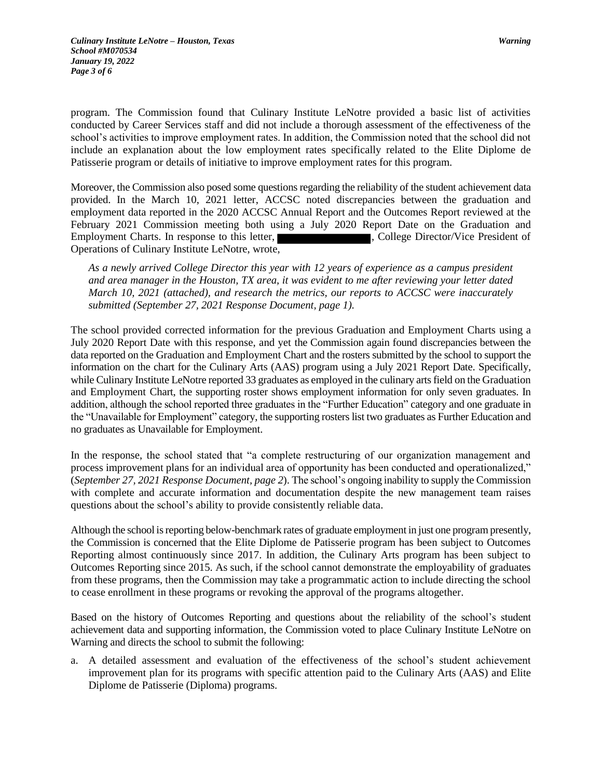program. The Commission found that Culinary Institute LeNotre provided a basic list of activities conducted by Career Services staff and did not include a thorough assessment of the effectiveness of the school's activities to improve employment rates. In addition, the Commission noted that the school did not include an explanation about the low employment rates specifically related to the Elite Diplome de Patisserie program or details of initiative to improve employment rates for this program.

Moreover, the Commission also posed some questions regarding the reliability of the student achievement data provided. In the March 10, 2021 letter, ACCSC noted discrepancies between the graduation and employment data reported in the 2020 ACCSC Annual Report and the Outcomes Report reviewed at the February 2021 Commission meeting both using a July 2020 Report Date on the Graduation and Employment Charts. In response to this letter, **Employment Charts.** In response to this letter, **and the set of the set of the set of the set of the set of the set of the set of the set of the set of the set of the set of** Operations of Culinary Institute LeNotre, wrote,

*As a newly arrived College Director this year with 12 years of experience as a campus president and area manager in the Houston, TX area, it was evident to me after reviewing your letter dated March 10, 2021 (attached), and research the metrics, our reports to ACCSC were inaccurately submitted (September 27, 2021 Response Document, page 1).*

The school provided corrected information for the previous Graduation and Employment Charts using a July 2020 Report Date with this response, and yet the Commission again found discrepancies between the data reported on the Graduation and Employment Chart and the rosters submitted by the school to support the information on the chart for the Culinary Arts (AAS) program using a July 2021 Report Date. Specifically, while Culinary Institute LeNotre reported 33 graduates as employed in the culinary arts field on the Graduation and Employment Chart, the supporting roster shows employment information for only seven graduates. In addition, although the school reported three graduates in the "Further Education" category and one graduate in the "Unavailable for Employment" category, the supporting rosters list two graduates as Further Education and no graduates as Unavailable for Employment.

In the response, the school stated that "a complete restructuring of our organization management and process improvement plans for an individual area of opportunity has been conducted and operationalized," (*September 27, 2021 Response Document, page 2*). The school's ongoing inability to supply the Commission with complete and accurate information and documentation despite the new management team raises questions about the school's ability to provide consistently reliable data.

Although the school is reporting below-benchmark rates of graduate employment in just one program presently, the Commission is concerned that the Elite Diplome de Patisserie program has been subject to Outcomes Reporting almost continuously since 2017. In addition, the Culinary Arts program has been subject to Outcomes Reporting since 2015. As such, if the school cannot demonstrate the employability of graduates from these programs, then the Commission may take a programmatic action to include directing the school to cease enrollment in these programs or revoking the approval of the programs altogether.

Based on the history of Outcomes Reporting and questions about the reliability of the school's student achievement data and supporting information, the Commission voted to place Culinary Institute LeNotre on Warning and directs the school to submit the following:

a. A detailed assessment and evaluation of the effectiveness of the school's student achievement improvement plan for its programs with specific attention paid to the Culinary Arts (AAS) and Elite Diplome de Patisserie (Diploma) programs.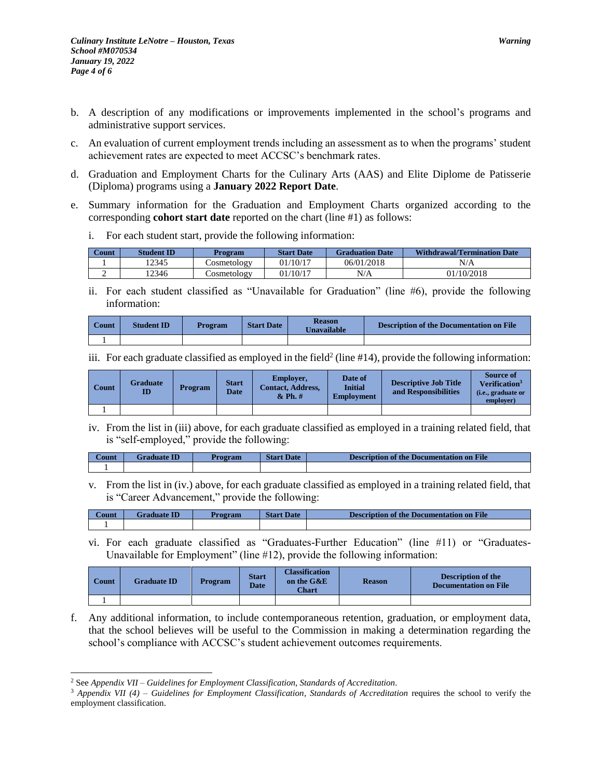- b. A description of any modifications or improvements implemented in the school's programs and administrative support services.
- c. An evaluation of current employment trends including an assessment as to when the programs' student achievement rates are expected to meet ACCSC's benchmark rates.
- d. Graduation and Employment Charts for the Culinary Arts (AAS) and Elite Diplome de Patisserie (Diploma) programs using a **January 2022 Report Date**.
- e. Summary information for the Graduation and Employment Charts organized according to the corresponding **cohort start date** reported on the chart (line #1) as follows:
	- i. For each student start, provide the following information:

| Count | <b>Student ID</b> | Program           |          | <b>Graduation Date</b> | <b>Withdrawal/Termination Date</b> |  |
|-------|-------------------|-------------------|----------|------------------------|------------------------------------|--|
|       | 12345             | Cosmetology       | 01/10/17 | 06/01/2018             | N/A                                |  |
|       | !2346             | $\cup$ osmetology | 01/10/17 | N/A                    | 01/10/2018                         |  |

ii. For each student classified as "Unavailable for Graduation" (line #6), provide the following information:

| <b>Count</b> | <b>Student ID</b> | Program | <b>Start Date</b> | <b>Reason</b><br><b>Jnavailable</b> | <b>Description of the Documentation on File</b> |
|--------------|-------------------|---------|-------------------|-------------------------------------|-------------------------------------------------|
|              |                   |         |                   |                                     |                                                 |

iii. For each graduate classified as employed in the field<sup>2</sup> (line  $#14$ ), provide the following information:

| Count | <b>Graduate</b><br>$\mathbf{ID}$ | Program | <b>Start</b><br><b>Date</b> | Employer,<br><b>Contact. Address.</b><br>$&$ Ph. $#$ | Date of<br><b>Initial</b><br><b>Employment</b> | <b>Descriptive Job Title</b><br>and Responsibilities | <b>Source of</b><br>Verification <sup>3</sup><br>( <i>i.e.</i> , graduate or<br>employer) |
|-------|----------------------------------|---------|-----------------------------|------------------------------------------------------|------------------------------------------------|------------------------------------------------------|-------------------------------------------------------------------------------------------|
|       |                                  |         |                             |                                                      |                                                |                                                      |                                                                                           |

iv. From the list in (iii) above, for each graduate classified as employed in a training related field, that is "self-employed," provide the following:

| ∠ount | <b>Graduate ID</b> | Program | <b>Start Date</b> | <b>Description of the Documentation on File</b> |
|-------|--------------------|---------|-------------------|-------------------------------------------------|
|       |                    |         |                   |                                                 |

v. From the list in (iv.) above, for each graduate classified as employed in a training related field, that is "Career Advancement," provide the following:

| ∠ount | Graduate ID | <b>Program</b> | <b>Start Date</b> | Description of the Documentation on File |
|-------|-------------|----------------|-------------------|------------------------------------------|
|       |             |                |                   |                                          |

vi. For each graduate classified as "Graduates-Further Education" (line #11) or "Graduates-Unavailable for Employment" (line #12), provide the following information:

| Count | <b>Graduate ID</b> | <b>Program</b> | <b>Start</b><br><b>Date</b> | <b>Classification</b><br>on the G&E<br><b>Chart</b> | <b>Reason</b> | <b>Description of the</b><br><b>Documentation on File</b> |
|-------|--------------------|----------------|-----------------------------|-----------------------------------------------------|---------------|-----------------------------------------------------------|
|       |                    |                |                             |                                                     |               |                                                           |

f. Any additional information, to include contemporaneous retention, graduation, or employment data, that the school believes will be useful to the Commission in making a determination regarding the school's compliance with ACCSC's student achievement outcomes requirements.

 $\overline{a}$ 

<sup>2</sup> See *Appendix VII – Guidelines for Employment Classification, Standards of Accreditation.*

<sup>&</sup>lt;sup>3</sup> Appendix VII (4) – Guidelines for Employment Classification, Standards of Accreditation requires the school to verify the employment classification.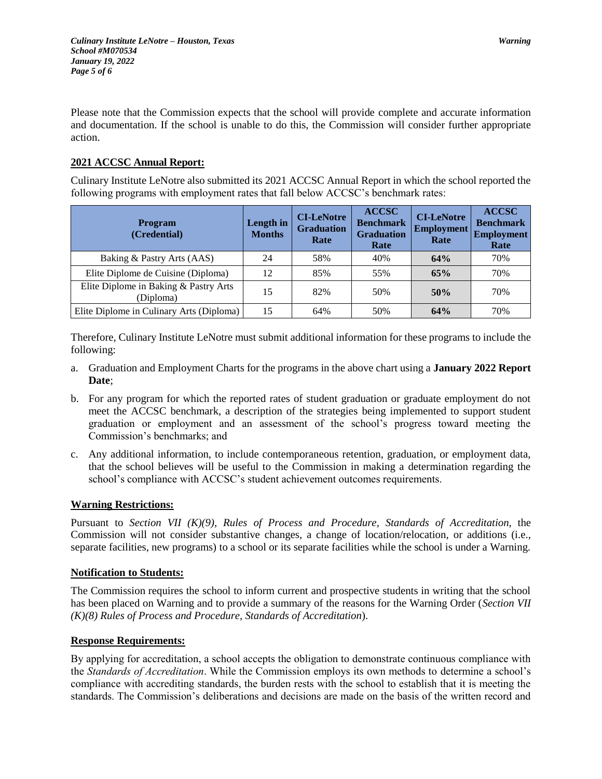Please note that the Commission expects that the school will provide complete and accurate information and documentation. If the school is unable to do this, the Commission will consider further appropriate action.

# **2021 ACCSC Annual Report:**

Culinary Institute LeNotre also submitted its 2021 ACCSC Annual Report in which the school reported the following programs with employment rates that fall below ACCSC's benchmark rates:

| <b>Program</b><br>(Credential)                     | Length in<br><b>Months</b> | <b>CI-LeNotre</b><br><b>Graduation</b><br>Rate | <b>ACCSC</b><br><b>Benchmark</b><br><b>Graduation</b><br>Rate | <b>CI-LeNotre</b><br><b>Employment</b><br>Rate | <b>ACCSC</b><br><b>Benchmark</b><br><b>Employment</b><br>Rate |
|----------------------------------------------------|----------------------------|------------------------------------------------|---------------------------------------------------------------|------------------------------------------------|---------------------------------------------------------------|
| Baking & Pastry Arts (AAS)                         | 24                         | 58%                                            | 40%                                                           | 64%                                            | 70%                                                           |
| Elite Diplome de Cuisine (Diploma)                 | 12                         | 85%                                            | 55%                                                           | 65%                                            | 70%                                                           |
| Elite Diplome in Baking & Pastry Arts<br>(Diploma) | 15                         | 82%                                            | 50%                                                           | 50%                                            | 70%                                                           |
| Elite Diplome in Culinary Arts (Diploma)           | 15                         | 64%                                            | 50%                                                           | 64%                                            | 70%                                                           |

Therefore, Culinary Institute LeNotre must submit additional information for these programs to include the following:

- a. Graduation and Employment Charts for the programs in the above chart using a **January 2022 Report Date**;
- b. For any program for which the reported rates of student graduation or graduate employment do not meet the ACCSC benchmark, a description of the strategies being implemented to support student graduation or employment and an assessment of the school's progress toward meeting the Commission's benchmarks; and
- c. Any additional information, to include contemporaneous retention, graduation, or employment data, that the school believes will be useful to the Commission in making a determination regarding the school's compliance with ACCSC's student achievement outcomes requirements.

# **Warning Restrictions:**

Pursuant to *Section VII (K)(9), Rules of Process and Procedure, Standards of Accreditation*, the Commission will not consider substantive changes, a change of location/relocation, or additions (i.e., separate facilities, new programs) to a school or its separate facilities while the school is under a Warning.

# **Notification to Students:**

The Commission requires the school to inform current and prospective students in writing that the school has been placed on Warning and to provide a summary of the reasons for the Warning Order (*Section VII (K)(8) Rules of Process and Procedure, Standards of Accreditation*).

# **Response Requirements:**

By applying for accreditation, a school accepts the obligation to demonstrate continuous compliance with the *Standards of Accreditation*. While the Commission employs its own methods to determine a school's compliance with accrediting standards, the burden rests with the school to establish that it is meeting the standards. The Commission's deliberations and decisions are made on the basis of the written record and